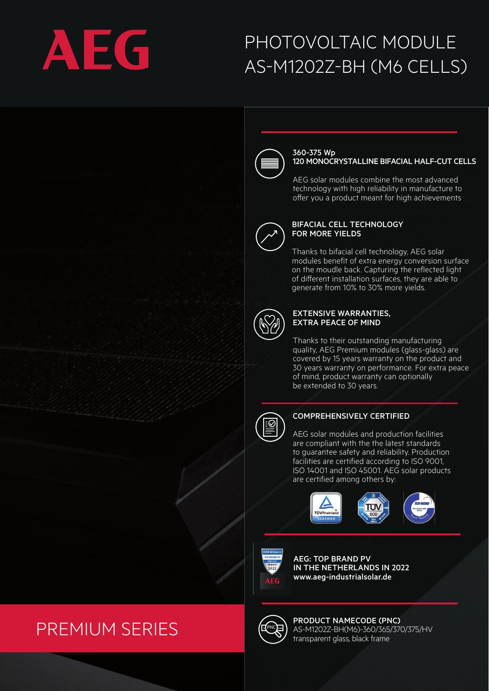

# PHOTOVOLTAIC MODULE AS-M1202Z-BH (M6 CELLS)



#### 360-375 Wp 120 MONOCRYSTALLINE BIFACIAL HALF-CUT CELLS

AEG solar modules combine the most advanced technology with high reliability in manufacture to offer you a product meant for high achievements



### BIFACIAL CELL TECHNOLOGY FOR MORE YIELDS

Thanks to bifacial cell technology, AEG solar modules benefit of extra energy conversion surface on the moudle back. Capturing the reflected light of different installation surfaces, they are able to generate from 10% to 30% more yields.



### EXTENSIVE WARRANTIES, EXTRA PEACE OF MIND

Thanks to their outstanding manufacturing quality, AEG Premium modules (glass-glass) are covered by 15 years warranty on the product and 30 years warranty on performance. For extra peace of mind, product warranty can optionally be extended to 30 years.



## COMPREHENSIVELY CERTIFIED

: AEG solar modules and production facilities are compliant with the the latest standards to guarantee safety and reliability. Production facilities are certified according to ISO 9001, ISO 14001 and ISO 45001. AEG solar products are certified among others by:





AEG: TOP BRAND PV IN THE NETHERLANDS IN 2022 www.aeg-industrialsolar.de

# **PNC** PREMIUM SERIES



PRODUCT NAMECODE (PNC) AS-M1202Z-BH(M6)-360/365/370/375/HV transparent glass, black frame